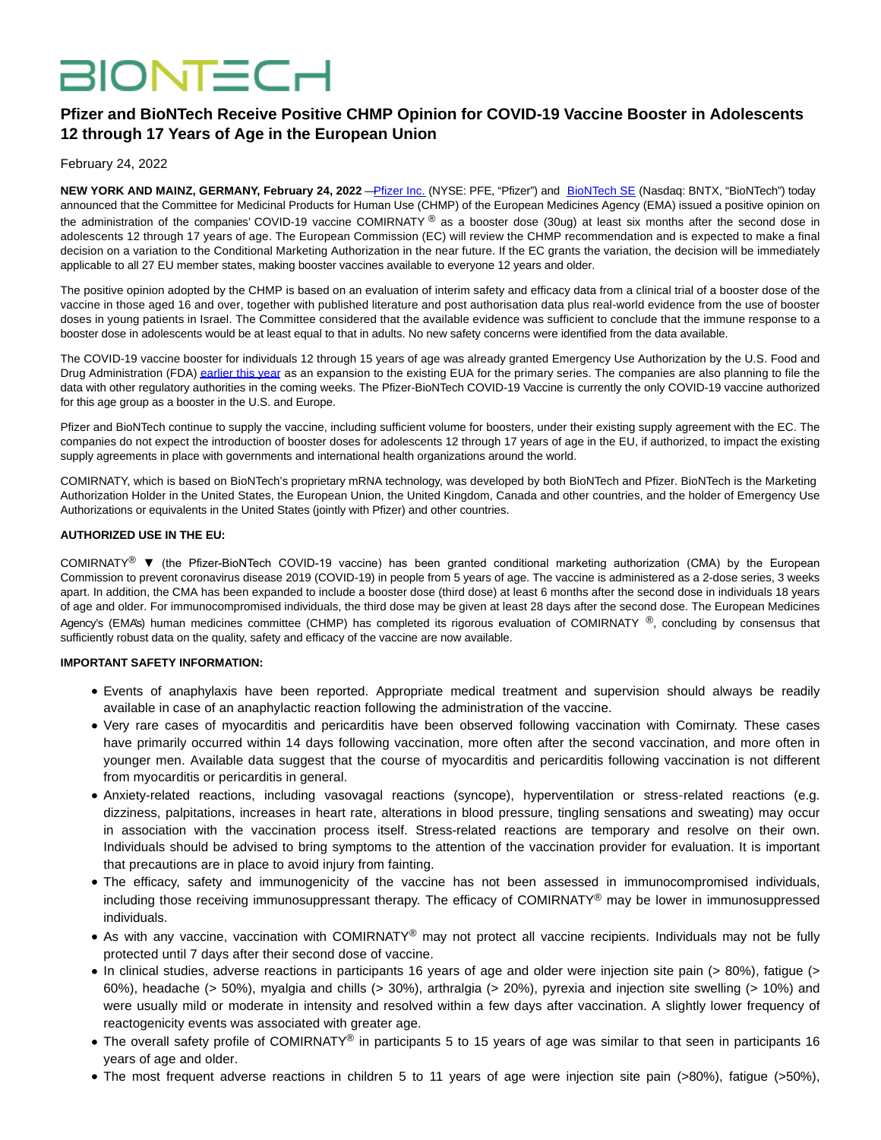# **BIONTECH**

# **Pfizer and BioNTech Receive Positive CHMP Opinion for COVID-19 Vaccine Booster in Adolescents 12 through 17 Years of Age in the European Union**

February 24, 2022

**NEW YORK AND MAINZ, GERMANY, February 24, 2022** [—Pfizer Inc. \(](https://www.globenewswire.com/Tracker?data=456BPDK3MyPyAuV0ojUMuLcNdAaMwFQSXhZhAbcgfphRSrWsa9RZyqDbb004LNtxwMD8zku6wcNc1bOPfWIbzOzVEwJyEuZuV_Xbo3jNa_SJ7IBbCANKuAYU2rQUqGb6RRy-18mJzzHtuWX7bugJDOCjRDuIdFUGn8C3YouKEtd-bS-T8BI1hYErTZW8ZJx966D8N5_Vk3CB_HqvJmT8v8g3IySradRVEYZrIH9IaLs=)NYSE: PFE, "Pfizer") and [BioNTech SE \(](https://www.globenewswire.com/Tracker?data=a7_KOXanW3i2uYp9GsK2Yl5UsZgm_kz-b9mStqtkgMZBlAWeW_bHFTNZutBLI3MafwQtpsFtk9XuieiKksIiGrMYK8DNvjSWHAKLhpmaXeuRkLcYcG0C92UMQl05kSFZILSMwzww9QbfD0XwQLk8c2b7apfFC1CY2u-Qq2szW0rKKmr0CTGS0Tbzyugt7RAGF6YGLYaCysljFitpOAebJq_mlTMyiDzIFxDf5h8x7TE=)Nasdaq: BNTX, "BioNTech") today announced that the Committee for Medicinal Products for Human Use (CHMP) of the European Medicines Agency (EMA) issued a positive opinion on the administration of the companies' COVID-19 vaccine COMIRNATY ® as a booster dose (30ug) at least six months after the second dose in adolescents 12 through 17 years of age. The European Commission (EC) will review the CHMP recommendation and is expected to make a final decision on a variation to the Conditional Marketing Authorization in the near future. If the EC grants the variation, the decision will be immediately applicable to all 27 EU member states, making booster vaccines available to everyone 12 years and older.

The positive opinion adopted by the CHMP is based on an evaluation of interim safety and efficacy data from a clinical trial of a booster dose of the vaccine in those aged 16 and over, together with published literature and post authorisation data plus real-world evidence from the use of booster doses in young patients in Israel. The Committee considered that the available evidence was sufficient to conclude that the immune response to a booster dose in adolescents would be at least equal to that in adults. No new safety concerns were identified from the data available.

The COVID-19 vaccine booster for individuals 12 through 15 years of age was already granted Emergency Use Authorization by the U.S. Food and Drug Administration (FDA[\) earlier this year a](https://www.globenewswire.com/Tracker?data=LlRY9nrmlLfnubLiscXD1x3ty5trhpplpSyb870mjxVefzUFmZiricympCBFGSUhC__lerpLD16O1q1SqjRg5exfHEm6uzkdgfQOFP88ENkYx6h28kImOhYT1jqHyNWXKrTkhOfldI9IVOJ5Fedfcxr_khtiZuKkYEViWfb4hu2hAjO1O5CRy3lgtDgKe9U1OTRluFrmejNghuF04JjfxQLC0fdnmga2P4gX8yKXotU=)s an expansion to the existing EUA for the primary series. The companies are also planning to file the data with other regulatory authorities in the coming weeks. The Pfizer-BioNTech COVID-19 Vaccine is currently the only COVID-19 vaccine authorized for this age group as a booster in the U.S. and Europe.

Pfizer and BioNTech continue to supply the vaccine, including sufficient volume for boosters, under their existing supply agreement with the EC. The companies do not expect the introduction of booster doses for adolescents 12 through 17 years of age in the EU, if authorized, to impact the existing supply agreements in place with governments and international health organizations around the world.

COMIRNATY, which is based on BioNTech's proprietary mRNA technology, was developed by both BioNTech and Pfizer. BioNTech is the Marketing Authorization Holder in the United States, the European Union, the United Kingdom, Canada and other countries, and the holder of Emergency Use Authorizations or equivalents in the United States (jointly with Pfizer) and other countries.

## **AUTHORIZED USE IN THE EU:**

COMIRNATY® ▼ (the Pfizer-BioNTech COVID-19 vaccine) has been granted conditional marketing authorization (CMA) by the European Commission to prevent coronavirus disease 2019 (COVID-19) in people from 5 years of age. The vaccine is administered as a 2-dose series, 3 weeks apart. In addition, the CMA has been expanded to include a booster dose (third dose) at least 6 months after the second dose in individuals 18 years of age and older. For immunocompromised individuals, the third dose may be given at least 28 days after the second dose. The European Medicines Agency's (EMA's) human medicines committee (CHMP) has completed its rigorous evaluation of COMIRNATY ®, concluding by consensus that sufficiently robust data on the quality, safety and efficacy of the vaccine are now available.

#### **IMPORTANT SAFETY INFORMATION:**

- Events of anaphylaxis have been reported. Appropriate medical treatment and supervision should always be readily available in case of an anaphylactic reaction following the administration of the vaccine.
- Very rare cases of myocarditis and pericarditis have been observed following vaccination with Comirnaty. These cases have primarily occurred within 14 days following vaccination, more often after the second vaccination, and more often in younger men. Available data suggest that the course of myocarditis and pericarditis following vaccination is not different from myocarditis or pericarditis in general.
- Anxiety-related reactions, including vasovagal reactions (syncope), hyperventilation or stress-related reactions (e.g. dizziness, palpitations, increases in heart rate, alterations in blood pressure, tingling sensations and sweating) may occur in association with the vaccination process itself. Stress-related reactions are temporary and resolve on their own. Individuals should be advised to bring symptoms to the attention of the vaccination provider for evaluation. It is important that precautions are in place to avoid injury from fainting.
- The efficacy, safety and immunogenicity of the vaccine has not been assessed in immunocompromised individuals, including those receiving immunosuppressant therapy. The efficacy of COMIRNATY<sup>®</sup> may be lower in immunosuppressed individuals.
- As with any vaccine, vaccination with COMIRNATY<sup>®</sup> may not protect all vaccine recipients. Individuals may not be fully protected until 7 days after their second dose of vaccine.
- In clinical studies, adverse reactions in participants 16 years of age and older were injection site pain (> 80%), fatigue (> 60%), headache (> 50%), myalgia and chills (> 30%), arthralgia (> 20%), pyrexia and injection site swelling (> 10%) and were usually mild or moderate in intensity and resolved within a few days after vaccination. A slightly lower frequency of reactogenicity events was associated with greater age.
- The overall safety profile of COMIRNATY® in participants 5 to 15 years of age was similar to that seen in participants 16 years of age and older.
- The most frequent adverse reactions in children 5 to 11 years of age were injection site pain (>80%), fatigue (>50%),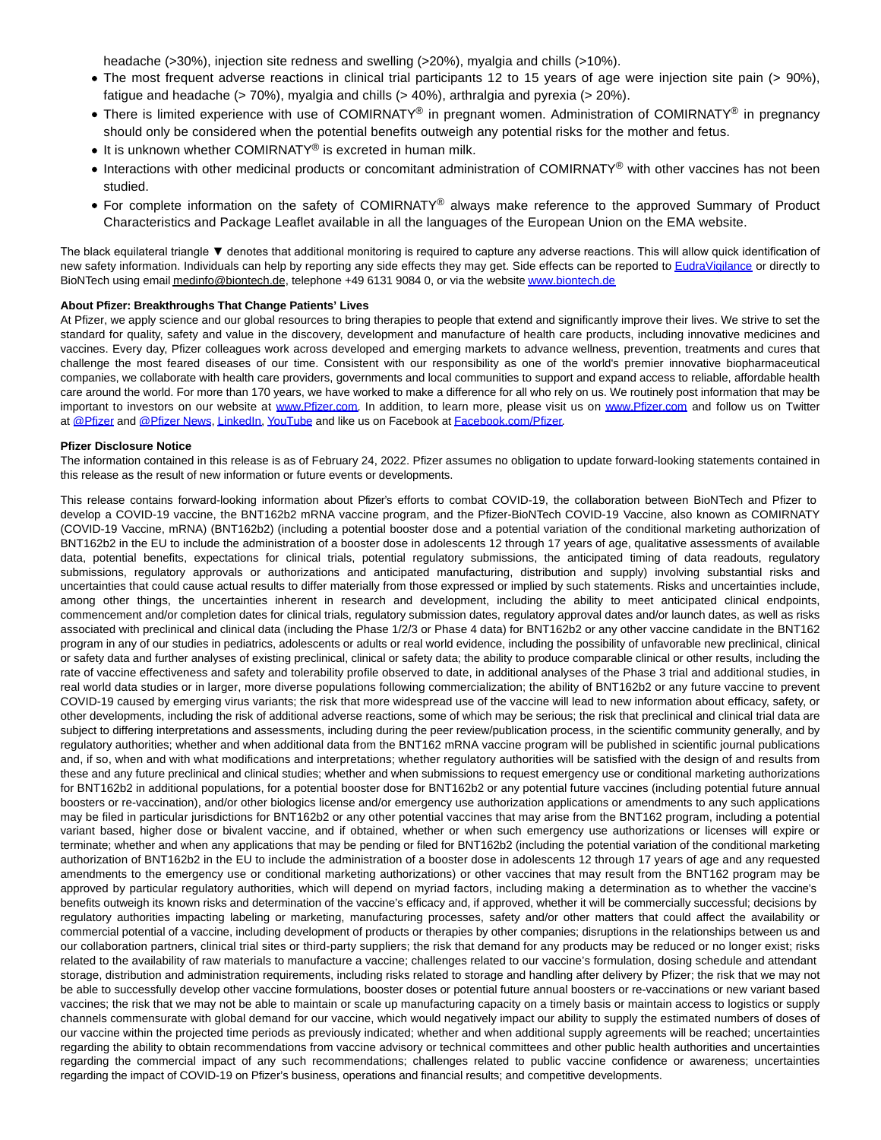headache (>30%), injection site redness and swelling (>20%), myalgia and chills (>10%).

- The most frequent adverse reactions in clinical trial participants 12 to 15 years of age were injection site pain (> 90%), fatigue and headache (> 70%), myalgia and chills (> 40%), arthralgia and pyrexia (> 20%).
- There is limited experience with use of COMIRNATY® in pregnant women. Administration of COMIRNATY® in pregnancy should only be considered when the potential benefits outweigh any potential risks for the mother and fetus.
- It is unknown whether COMIRNATY<sup>®</sup> is excreted in human milk.
- Interactions with other medicinal products or concomitant administration of COMIRNATY<sup>®</sup> with other vaccines has not been studied.
- For complete information on the safety of COMIRNATY<sup>®</sup> always make reference to the approved Summary of Product Characteristics and Package Leaflet available in all the languages of the European Union on the EMA website.

The black equilateral triangle ▼ denotes that additional monitoring is required to capture any adverse reactions. This will allow quick identification of new safety information. Individuals can help by reporting any side effects they may get. Side effects can be reported to [EudraVigilance o](https://www.globenewswire.com/Tracker?data=19StkeKXEld9q15AFB5MktgEUTjnE_m4lH5yWRSbWvpdSpLsuoIm-UxercuStZrT208Mdan5kZESV-3mqM_x5lPd75Epfne9PGBG5TXcwbOEoa8q2rSaTT1cAp5zMIBNzy7MzXK4e-cLZLP_QBoCMdWCjZSGjMDCcMiM_HigE9hQtMFLKLohom5YZNYc08XCVpiJWbrzIQZOEmAphCFtWAlpCuzzH0Isjb8IeJsbzao=)r directly to BioNTech using email medinfo@biontech.de, telephone +49 6131 9084 0, or via the websit[e www.biontech.de](https://www.globenewswire.com/Tracker?data=Lhzn5_iYBfJISBpSZPfHGP10Bmdk1IE569tkYVBBRoqwplMO1XdZewZgTkoeZjoNHe_fkUJnrovht3GF57xwJgrW0CWrE2UL5vs1gR2LzGKY8Fc2EyNP2j1UTbP1HtY_PAICpuRdkqyahEXFBCbWp086GrlJ-mHp9T9MDgT1caHXu6f8_JL23BolwYi4Ykz5kxZ16uK4CyivaD832GO-97GaRiUFS_3sW6fVGjQCRnY=)

#### **About Pfizer: Breakthroughs That Change Patients' Lives**

At Pfizer, we apply science and our global resources to bring therapies to people that extend and significantly improve their lives. We strive to set the standard for quality, safety and value in the discovery, development and manufacture of health care products, including innovative medicines and vaccines. Every day, Pfizer colleagues work across developed and emerging markets to advance wellness, prevention, treatments and cures that challenge the most feared diseases of our time. Consistent with our responsibility as one of the world's premier innovative biopharmaceutical companies, we collaborate with health care providers, governments and local communities to support and expand access to reliable, affordable health care around the world. For more than 170 years, we have worked to make a difference for all who rely on us. We routinely post information that may be important to investors on our website at [www.Pfizer.com.](https://www.globenewswire.com/Tracker?data=Lhzn5_iYBfJISBpSZPfHGNXtZfupZx22Ek-xzHQrPPVEBQH_f7LKkd--wYwd8tOl7me12w0dXUbzyDtYOf6jtjrR3E3MywgrW4oAbZzQMKPk-W0r5fAaV5LwVwCg0nJ8GSJN_FcQr22f6FgoZFWpyKYEKnwbKuuTghwcs6aYi42ZLV2hp4z6wVdKKmzgXmOA8hOmqrybUrw3mXK_NTZtij2ZknzOfLNud4FMaSpO52Kg7rJI8gewlPBSm-OTmRRHSFYYBgIP8tfL74UHCjx2fZn5e9ZGlq6neF3AJ3C7rhrAY_pxZkz179eDvs8xrg98iPHSNDQHlYhpag8t5dYXbQ==) In addition, to learn more, please visit us on [www.Pfizer.com](https://www.globenewswire.com/Tracker?data=Lhzn5_iYBfJISBpSZPfHGC20nHiINCOQONBM3C0r9lLMrC5r4M3p9bVMyp922e41BREWXdwczdulgdaNA6Q-qSpoQpGGxynZ7st-Kop3UWRwQzZmDbFU-lsy1tKC4g-D5yhzV8sDmrWYmJRR3ZrZxYUoq9wNUqGsl-IoCHpz75LPETtm2yVcWHwtGN1hRN7cf091QY1kdS3FY1nhWqxIl8P1zf_lz5JfIfr2i_jyNOQDAjPRljpNrHpOqFssmrOcrhmxolDpJ6xcZ6y1u_UPeZTtt4ganj_Fw_XvmmJOqoVAC5vN0jbsT54vUbpvW5YIJplf-1a70aZpX3iNsJrj7A==) and follow us on Twitter at [@Pfizer a](https://www.globenewswire.com/Tracker?data=co6Cn_VAu8uvsljvfjDNoSsDbyNcy4oswfmYFiuCJvWtZy_66RFQLKX1i7h6Uxd6BZvRMxAvMIxDMCjp1t_AfpS3mejYanL3nrbVssxiQ-nf70WuQaomBRfBrrHPHB6QiRzsxc567F6bzQgXxek_ffuRXAayHMlnrznnt6fZxCf1g3Qa9AFzbgmrugXL9ig7Wh3RpRuBsqMlDidJ-l4SQoW9o2UuqBlnXxmEOyFc58c8Ok8FqqzdLKu7-e8TGLb4Pn-HZg3SB_Qxz3M-cfPeRgym0NqTHVFb5BohF21DHJm1vY5az3Ez4tJPHRQxdO6S)nd [@Pfizer](https://www.globenewswire.com/Tracker?data=co6Cn_VAu8uvsljvfjDNoe9D7LwaLa0OBuq4I7tEQCxcrfdnz8Svk6ES97fqvEG6BQcNRNw5EGxiVC0VMGjcg7OmEPSIhIwhL9q0NswLAr-9Twfv1EFAvL4_DyRJ9CTWL3fAH4WhwX9Z-HGjA3tMXUlwcVSdq5xyw-bCIGc9TJ5bTTbtXc0JKS3tN12DOPhvQtGHxicxdD81bnrNbo685NV0-LiW8wtBNLNL96QDnvjf9d9Mrgp8RQV0P-NvJVE0f5P5Mp6TANq9TkV4ei3qJHB4VuZTw6xzI7dSPHzXMW4QFUmgL-iShPNMxyPUUxL4Gf83IA2vJx_Gcpm2pFqXDw==) News[, LinkedIn,](https://www.globenewswire.com/Tracker?data=fVzeVIigiSl0HzyIp4aBhfVZfGpuYh9Q5XvFqLQfw8s985wxB7jahc9Upmt6pRIbwL2-Sj_mdaGBggF2Ui-Js5TtWPX_6Pu3NOpum2PtkdY6qTvu9-jsQWxMMJSkH2XWKqASPtw--x464mZCMhcg7f4syQY2je176qwGhB3mW1CXQ78NaLqN_8Fu_NJIPzo99cj5h7kgnDKWazmckSRkp-4YbVFEMDbPFwD8vtsjORkTgIDLLA648fvJ7wmFOBCGVCYNJJbJ6kAzecdLFNaS7ipA85pIPpM37mzfhjxgI38hmjCAnDpblBeCVhxMi6-_kwwAfXdjh19slz3o22Tj9Q==) [YouTube a](https://www.globenewswire.com/Tracker?data=HfSwj-TfayYaX1nIDhQTQ8WztcyTFiDl2hs9OPFwtEu-ZT0JTenHYsY9FOxjgEAUUeUbPs3xi9jHlHFrIwmMdj-Ls68O-XQvouV3ceM2tCvBzf5iRezitU5iit5UDkyUlwrYeMNa5SRQoEGa7a44iW_Mqut0TiG4YE9V4LZP-sNbxA_OJYVQd5W6nSGQTKmTYhbjAkfKP4nM8LSEojl1lu74aRJH6-tmBHE0JQ8oB1M-bcaYSxivR2nejTB5UJdzD2MOZtg7RTSgYBfX06on7Cj08YebRIAawpjBQU9qCBngjIIXukBturvwFL836rdm)nd like us on Facebook at [Facebook.com/Pfizer.](https://www.globenewswire.com/Tracker?data=oW-1auHcEqCIOeWd748ED_-Lrj90f96Ll0WdetPm2MSZp8LBf-Zht4SU0SmtW7kERw6TF0em0RZdyviU8R8V1KEcBh1t3_RUu8LxS5tQ3S6SODY16LW5bbZXFJ1QNZF9r6epL01bFUopg9o41bLwntN49JiYuJSBO2IcBAgOG60unzoUxNpxxGIPxS1TNQQm5g40a8URlUJP_U9z0xYNij1mvjocfLB8VGMvjjbc2D1l2NQcrOo3CqEyR4cC8EKwpkcyA59l70knJHjCwm9VEo4tLt6g6tck181VluJk-DMIJuaA9zYUCZZfnBFhQLYtsNUphb15zjVRCum6mKb2N8WHsnjcAFnED8oNRNWzrAI=)

#### **Pfizer Disclosure Notice**

The information contained in this release is as of February 24, 2022. Pfizer assumes no obligation to update forward-looking statements contained in this release as the result of new information or future events or developments.

This release contains forward-looking information about Pfizer's efforts to combat COVID-19, the collaboration between BioNTech and Pfizer to develop a COVID-19 vaccine, the BNT162b2 mRNA vaccine program, and the Pfizer-BioNTech COVID-19 Vaccine, also known as COMIRNATY (COVID-19 Vaccine, mRNA) (BNT162b2) (including a potential booster dose and a potential variation of the conditional marketing authorization of BNT162b2 in the EU to include the administration of a booster dose in adolescents 12 through 17 years of age, qualitative assessments of available data, potential benefits, expectations for clinical trials, potential regulatory submissions, the anticipated timing of data readouts, regulatory submissions, regulatory approvals or authorizations and anticipated manufacturing, distribution and supply) involving substantial risks and uncertainties that could cause actual results to differ materially from those expressed or implied by such statements. Risks and uncertainties include, among other things, the uncertainties inherent in research and development, including the ability to meet anticipated clinical endpoints, commencement and/or completion dates for clinical trials, regulatory submission dates, regulatory approval dates and/or launch dates, as well as risks associated with preclinical and clinical data (including the Phase 1/2/3 or Phase 4 data) for BNT162b2 or any other vaccine candidate in the BNT162 program in any of our studies in pediatrics, adolescents or adults or real world evidence, including the possibility of unfavorable new preclinical, clinical or safety data and further analyses of existing preclinical, clinical or safety data; the ability to produce comparable clinical or other results, including the rate of vaccine effectiveness and safety and tolerability profile observed to date, in additional analyses of the Phase 3 trial and additional studies, in real world data studies or in larger, more diverse populations following commercialization; the ability of BNT162b2 or any future vaccine to prevent COVID-19 caused by emerging virus variants; the risk that more widespread use of the vaccine will lead to new information about efficacy, safety, or other developments, including the risk of additional adverse reactions, some of which may be serious; the risk that preclinical and clinical trial data are subject to differing interpretations and assessments, including during the peer review/publication process, in the scientific community generally, and by regulatory authorities; whether and when additional data from the BNT162 mRNA vaccine program will be published in scientific journal publications and, if so, when and with what modifications and interpretations; whether regulatory authorities will be satisfied with the design of and results from these and any future preclinical and clinical studies; whether and when submissions to request emergency use or conditional marketing authorizations for BNT162b2 in additional populations, for a potential booster dose for BNT162b2 or any potential future vaccines (including potential future annual boosters or re-vaccination), and/or other biologics license and/or emergency use authorization applications or amendments to any such applications may be filed in particular jurisdictions for BNT162b2 or any other potential vaccines that may arise from the BNT162 program, including a potential variant based, higher dose or bivalent vaccine, and if obtained, whether or when such emergency use authorizations or licenses will expire or terminate; whether and when any applications that may be pending or filed for BNT162b2 (including the potential variation of the conditional marketing authorization of BNT162b2 in the EU to include the administration of a booster dose in adolescents 12 through 17 years of age and any requested amendments to the emergency use or conditional marketing authorizations) or other vaccines that may result from the BNT162 program may be approved by particular regulatory authorities, which will depend on myriad factors, including making a determination as to whether the vaccine's benefits outweigh its known risks and determination of the vaccine's efficacy and, if approved, whether it will be commercially successful; decisions by regulatory authorities impacting labeling or marketing, manufacturing processes, safety and/or other matters that could affect the availability or commercial potential of a vaccine, including development of products or therapies by other companies; disruptions in the relationships between us and our collaboration partners, clinical trial sites or third-party suppliers; the risk that demand for any products may be reduced or no longer exist; risks related to the availability of raw materials to manufacture a vaccine; challenges related to our vaccine's formulation, dosing schedule and attendant storage, distribution and administration requirements, including risks related to storage and handling after delivery by Pfizer; the risk that we may not be able to successfully develop other vaccine formulations, booster doses or potential future annual boosters or re-vaccinations or new variant based vaccines; the risk that we may not be able to maintain or scale up manufacturing capacity on a timely basis or maintain access to logistics or supply channels commensurate with global demand for our vaccine, which would negatively impact our ability to supply the estimated numbers of doses of our vaccine within the projected time periods as previously indicated; whether and when additional supply agreements will be reached; uncertainties regarding the ability to obtain recommendations from vaccine advisory or technical committees and other public health authorities and uncertainties regarding the commercial impact of any such recommendations; challenges related to public vaccine confidence or awareness; uncertainties regarding the impact of COVID-19 on Pfizer's business, operations and financial results; and competitive developments.